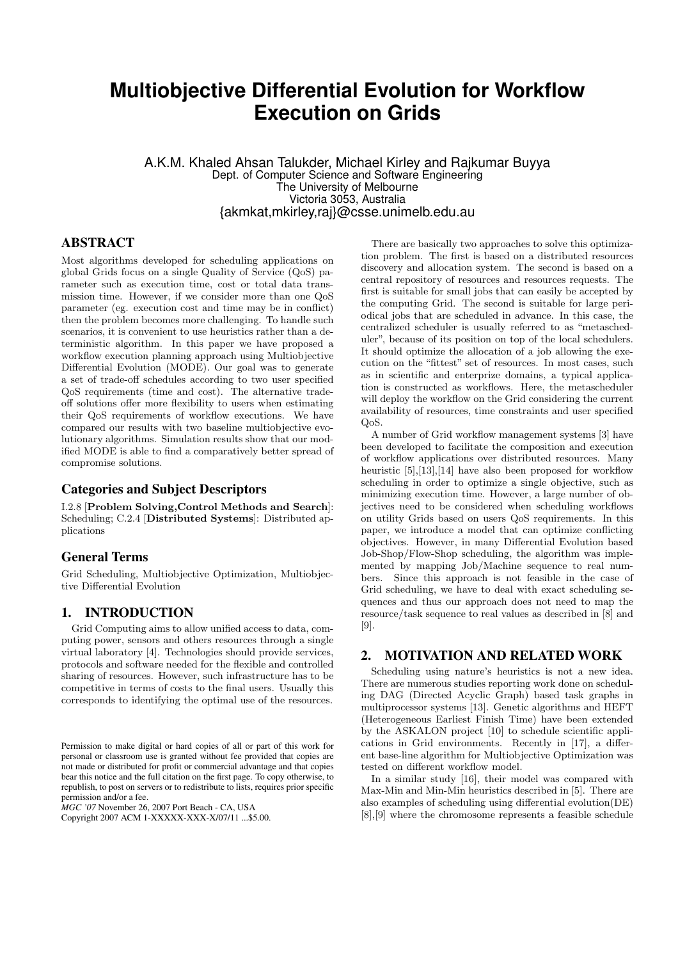# **Multiobjective Differential Evolution for Workflow Execution on Grids**

A.K.M. Khaled Ahsan Talukder, Michael Kirley and Rajkumar Buyya Dept. of Computer Science and Software Engineering The University of Melbourne Victoria 3053, Australia {akmkat,mkirley,raj}@csse.unimelb.edu.au

# ABSTRACT

Most algorithms developed for scheduling applications on global Grids focus on a single Quality of Service (QoS) parameter such as execution time, cost or total data transmission time. However, if we consider more than one QoS parameter (eg. execution cost and time may be in conflict) then the problem becomes more challenging. To handle such scenarios, it is convenient to use heuristics rather than a deterministic algorithm. In this paper we have proposed a workflow execution planning approach using Multiobjective Differential Evolution (MODE). Our goal was to generate a set of trade-off schedules according to two user specified QoS requirements (time and cost). The alternative tradeoff solutions offer more flexibility to users when estimating their QoS requirements of workflow executions. We have compared our results with two baseline multiobjective evolutionary algorithms. Simulation results show that our modified MODE is able to find a comparatively better spread of compromise solutions.

## Categories and Subject Descriptors

I.2.8 [Problem Solving,Control Methods and Search]: Scheduling; C.2.4 [Distributed Systems]: Distributed applications

## General Terms

Grid Scheduling, Multiobjective Optimization, Multiobjective Differential Evolution

## 1. INTRODUCTION

Grid Computing aims to allow unified access to data, computing power, sensors and others resources through a single virtual laboratory [4]. Technologies should provide services, protocols and software needed for the flexible and controlled sharing of resources. However, such infrastructure has to be competitive in terms of costs to the final users. Usually this corresponds to identifying the optimal use of the resources.

*MGC '07* November 26, 2007 Port Beach - CA, USA

Copyright 2007 ACM 1-XXXXX-XXX-X/07/11 ...\$5.00.

There are basically two approaches to solve this optimization problem. The first is based on a distributed resources discovery and allocation system. The second is based on a central repository of resources and resources requests. The first is suitable for small jobs that can easily be accepted by the computing Grid. The second is suitable for large periodical jobs that are scheduled in advance. In this case, the centralized scheduler is usually referred to as "metascheduler", because of its position on top of the local schedulers. It should optimize the allocation of a job allowing the execution on the "fittest" set of resources. In most cases, such as in scientific and enterprize domains, a typical application is constructed as workflows. Here, the metascheduler will deploy the workflow on the Grid considering the current availability of resources, time constraints and user specified QoS.

A number of Grid workflow management systems [3] have been developed to facilitate the composition and execution of workflow applications over distributed resources. Many heuristic [5], [13], [14] have also been proposed for workflow scheduling in order to optimize a single objective, such as minimizing execution time. However, a large number of objectives need to be considered when scheduling workflows on utility Grids based on users QoS requirements. In this paper, we introduce a model that can optimize conflicting objectives. However, in many Differential Evolution based Job-Shop/Flow-Shop scheduling, the algorithm was implemented by mapping Job/Machine sequence to real numbers. Since this approach is not feasible in the case of Grid scheduling, we have to deal with exact scheduling sequences and thus our approach does not need to map the resource/task sequence to real values as described in [8] and [9].

## 2. MOTIVATION AND RELATED WORK

Scheduling using nature's heuristics is not a new idea. There are numerous studies reporting work done on scheduling DAG (Directed Acyclic Graph) based task graphs in multiprocessor systems [13]. Genetic algorithms and HEFT (Heterogeneous Earliest Finish Time) have been extended by the ASKALON project [10] to schedule scientific applications in Grid environments. Recently in [17], a different base-line algorithm for Multiobjective Optimization was tested on different workflow model.

In a similar study [16], their model was compared with Max-Min and Min-Min heuristics described in [5]. There are also examples of scheduling using differential evolution(DE) [8],[9] where the chromosome represents a feasible schedule

Permission to make digital or hard copies of all or part of this work for personal or classroom use is granted without fee provided that copies are not made or distributed for profit or commercial advantage and that copies bear this notice and the full citation on the first page. To copy otherwise, to republish, to post on servers or to redistribute to lists, requires prior specific permission and/or a fee.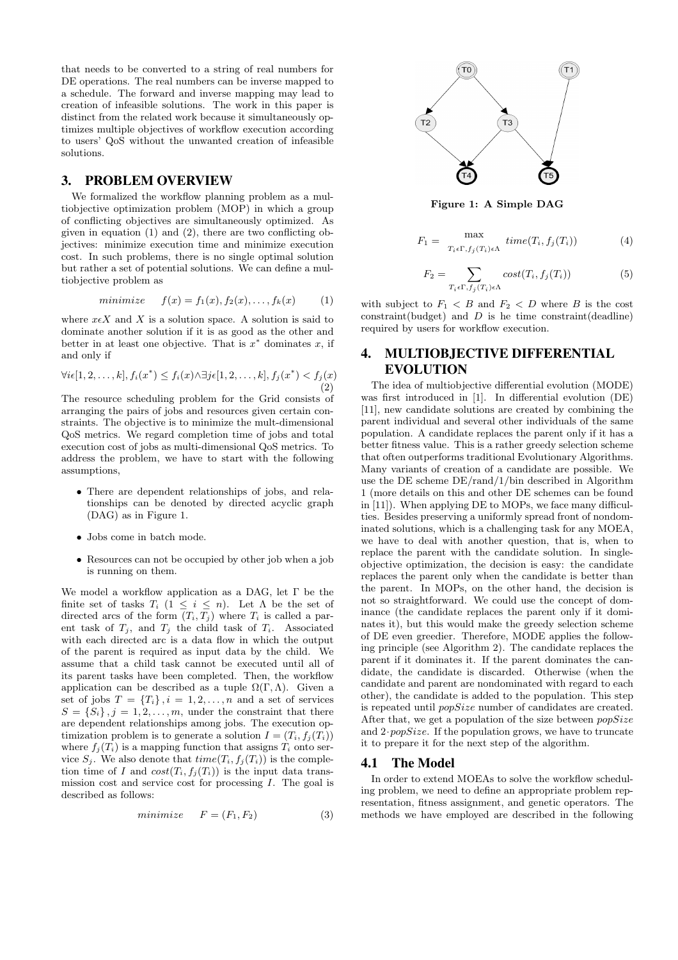that needs to be converted to a string of real numbers for DE operations. The real numbers can be inverse mapped to a schedule. The forward and inverse mapping may lead to creation of infeasible solutions. The work in this paper is distinct from the related work because it simultaneously optimizes multiple objectives of workflow execution according to users' QoS without the unwanted creation of infeasible solutions.

## 3. PROBLEM OVERVIEW

We formalized the workflow planning problem as a multiobjective optimization problem (MOP) in which a group of conflicting objectives are simultaneously optimized. As given in equation (1) and (2), there are two conflicting objectives: minimize execution time and minimize execution cost. In such problems, there is no single optimal solution but rather a set of potential solutions. We can define a multiobjective problem as

$$
minimize \t f(x) = f_1(x), f_2(x), \dots, f_k(x) \t (1)
$$

where  $x \in X$  and X is a solution space. A solution is said to dominate another solution if it is as good as the other and better in at least one objective. That is  $x^*$  dominates x, if and only if

$$
\forall i \in [1, 2, \dots, k], f_i(x^*) \le f_i(x) \land \exists j \in [1, 2, \dots, k], f_j(x^*) < f_j(x) \tag{2}
$$

The resource scheduling problem for the Grid consists of arranging the pairs of jobs and resources given certain constraints. The objective is to minimize the mult-dimensional QoS metrics. We regard completion time of jobs and total execution cost of jobs as multi-dimensional QoS metrics. To address the problem, we have to start with the following assumptions,

- There are dependent relationships of jobs, and relationships can be denoted by directed acyclic graph (DAG) as in Figure 1.
- Jobs come in batch mode.
- Resources can not be occupied by other job when a job is running on them.

We model a workflow application as a DAG, let Γ be the finite set of tasks  $T_i$   $(1 \leq i \leq n)$ . Let  $\Lambda$  be the set of directed arcs of the form  $(T_i, T_j)$  where  $T_i$  is called a parent task of  $T_j$ , and  $T_j$  the child task of  $T_i$ . Associated with each directed arc is a data flow in which the output of the parent is required as input data by the child. We assume that a child task cannot be executed until all of its parent tasks have been completed. Then, the workflow application can be described as a tuple  $\Omega(\Gamma,\Lambda)$ . Given a set of jobs  $T = \{T_i\}, i = 1, 2, ..., n$  and a set of services  $S = \{S_i\}, j = 1, 2, \ldots, m$ , under the constraint that there are dependent relationships among jobs. The execution optimization problem is to generate a solution  $I = (T_i, f_i(T_i))$ where  $f_i(T_i)$  is a mapping function that assigns  $T_i$  onto service  $S_i$ . We also denote that  $time(T_i, f_i(T_i))$  is the completion time of I and  $cost(T_i, f_i(T_i))$  is the input data transmission cost and service cost for processing  $I$ . The goal is described as follows:

$$
minimize \tF = (F_1, F_2) \t(3)
$$



Figure 1: A Simple DAG

$$
F_1 = \max_{T_i \in \Gamma, f_j(T_i) \in \Lambda} \, time(T_i, f_j(T_i)) \tag{4}
$$

$$
F_2 = \sum_{T_i \in \Gamma, f_j(T_i) \in \Lambda} cost(T_i, f_j(T_i)) \tag{5}
$$

with subject to  $F_1 < B$  and  $F_2 < D$  where B is the cost constraint(budget) and  $D$  is he time constraint(deadline) required by users for workflow execution.

# 4. MULTIOBJECTIVE DIFFERENTIAL EVOLUTION

The idea of multiobjective differential evolution (MODE) was first introduced in [1]. In differential evolution (DE) [11], new candidate solutions are created by combining the parent individual and several other individuals of the same population. A candidate replaces the parent only if it has a better fitness value. This is a rather greedy selection scheme that often outperforms traditional Evolutionary Algorithms. Many variants of creation of a candidate are possible. We use the DE scheme DE/rand/1/bin described in Algorithm 1 (more details on this and other DE schemes can be found in [11]). When applying DE to MOPs, we face many difficulties. Besides preserving a uniformly spread front of nondominated solutions, which is a challenging task for any MOEA, we have to deal with another question, that is, when to replace the parent with the candidate solution. In singleobjective optimization, the decision is easy: the candidate replaces the parent only when the candidate is better than the parent. In MOPs, on the other hand, the decision is not so straightforward. We could use the concept of dominance (the candidate replaces the parent only if it dominates it), but this would make the greedy selection scheme of DE even greedier. Therefore, MODE applies the following principle (see Algorithm 2). The candidate replaces the parent if it dominates it. If the parent dominates the candidate, the candidate is discarded. Otherwise (when the candidate and parent are nondominated with regard to each other), the candidate is added to the population. This step is repeated until popSize number of candidates are created. After that, we get a population of the size between  $popSize$ and  $2 \cdot popSize$ . If the population grows, we have to truncate it to prepare it for the next step of the algorithm.

#### 4.1 The Model

In order to extend MOEAs to solve the workflow scheduling problem, we need to define an appropriate problem representation, fitness assignment, and genetic operators. The methods we have employed are described in the following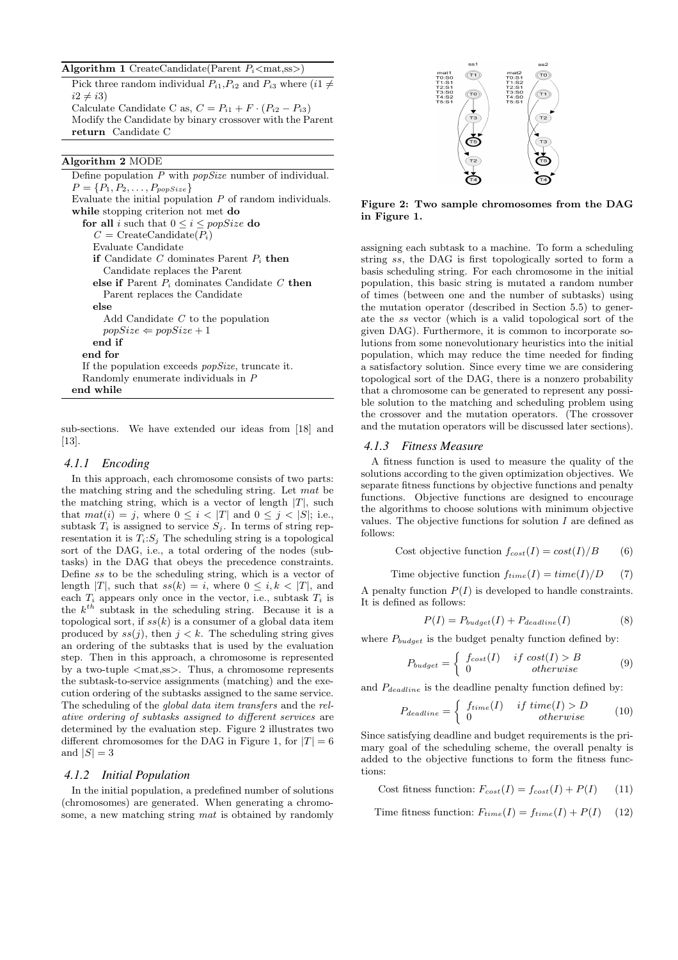Algorithm 1 CreateCandidate(Parent  $P_i$ <mat,ss>) Pick three random individual  $P_{i1}, P_{i2}$  and  $P_{i3}$  where  $(i1 \neq$  $i2 \neq i3$ Calculate Candidate C as,  $C = P_{i1} + F \cdot (P_{i2} - P_{i3})$ Modify the Candidate by binary crossover with the Parent return Candidate C

## Algorithm 2 MODE

Define population  $P$  with  $popSize$  number of individual.  $P = \{P_1, P_2, \ldots, P_{popSize}\}$ Evaluate the initial population  $P$  of random individuals. while stopping criterion not met do for all i such that  $0 \le i \le popSize$  do  $C = \text{CreateCandiate}(P_i)$ Evaluate Candidate if Candidate C dominates Parent  $P_i$  then Candidate replaces the Parent else if Parent  $P_i$  dominates Candidate  $C$  then Parent replaces the Candidate else Add Candidate C to the population  $popSize \Leftarrow popSize + 1$ end if end for If the population exceeds popSize, truncate it. Randomly enumerate individuals in P end while

sub-sections. We have extended our ideas from [18] and [13].

#### *4.1.1 Encoding*

In this approach, each chromosome consists of two parts: the matching string and the scheduling string. Let mat be the matching string, which is a vector of length  $|T|$ , such that  $mat(i) = j$ , where  $0 \leq i < |T|$  and  $0 \leq j < |S|$ ; i.e., subtask  $T_i$  is assigned to service  $S_j$ . In terms of string representation it is  $T_i: S_j$ . The scheduling string is a topological sort of the DAG, i.e., a total ordering of the nodes (subtasks) in the DAG that obeys the precedence constraints. Define ss to be the scheduling string, which is a vector of length |T|, such that  $ss(k) = i$ , where  $0 \le i, k \le |T|$ , and each  $T_i$  appears only once in the vector, i.e., subtask  $T_i$  is the  $k^{th}$  subtask in the scheduling string. Because it is a topological sort, if  $ss(k)$  is a consumer of a global data item produced by  $ss(i)$ , then  $i < k$ . The scheduling string gives an ordering of the subtasks that is used by the evaluation step. Then in this approach, a chromosome is represented by a two-tuple  $\langle \text{mat} \rangle$ . Thus, a chromosome represents the subtask-to-service assignments (matching) and the execution ordering of the subtasks assigned to the same service. The scheduling of the global data item transfers and the relative ordering of subtasks assigned to different services are determined by the evaluation step. Figure 2 illustrates two different chromosomes for the DAG in Figure 1, for  $|T| = 6$ and  $|S| = 3$ 

## *4.1.2 Initial Population*

In the initial population, a predefined number of solutions (chromosomes) are generated. When generating a chromosome, a new matching string mat is obtained by randomly



Figure 2: Two sample chromosomes from the DAG in Figure 1.

assigning each subtask to a machine. To form a scheduling string ss, the DAG is first topologically sorted to form a basis scheduling string. For each chromosome in the initial population, this basic string is mutated a random number of times (between one and the number of subtasks) using the mutation operator (described in Section 5.5) to generate the ss vector (which is a valid topological sort of the given DAG). Furthermore, it is common to incorporate solutions from some nonevolutionary heuristics into the initial population, which may reduce the time needed for finding a satisfactory solution. Since every time we are considering topological sort of the DAG, there is a nonzero probability that a chromosome can be generated to represent any possible solution to the matching and scheduling problem using the crossover and the mutation operators. (The crossover and the mutation operators will be discussed later sections).

#### *4.1.3 Fitness Measure*

A fitness function is used to measure the quality of the solutions according to the given optimization objectives. We separate fitness functions by objective functions and penalty functions. Objective functions are designed to encourage the algorithms to choose solutions with minimum objective values. The objective functions for solution  $I$  are defined as follows:

Cost objective function 
$$
f_{cost}(I) = cost(I)/B
$$
 (6)

Time objective function 
$$
f_{time}(I) = time(I)/D
$$
 (7)

A penalty function  $P(I)$  is developed to handle constraints. It is defined as follows:

$$
P(I) = P_{budget}(I) + P_{deadline}(I)
$$
\n(8)

where  $P_{budget}$  is the budget penalty function defined by:

$$
P_{budget} = \begin{cases} f_{cost}(I) & if cost(I) > B \\ 0 & otherwise \end{cases}
$$
 (9)

and  $P_{deadline}$  is the deadline penalty function defined by:

$$
P_{deadline} = \begin{cases} f_{time}(I) & if \ time(I) > D \\ 0 & otherwise \end{cases}
$$
 (10)

Since satisfying deadline and budget requirements is the primary goal of the scheduling scheme, the overall penalty is added to the objective functions to form the fitness functions:

Cost fitness function:  $F_{cost}(I) = f_{cost}(I) + P(I)$  (11)

Time fitness function:  $F_{time}(I) = f_{time}(I) + P(I)$  (12)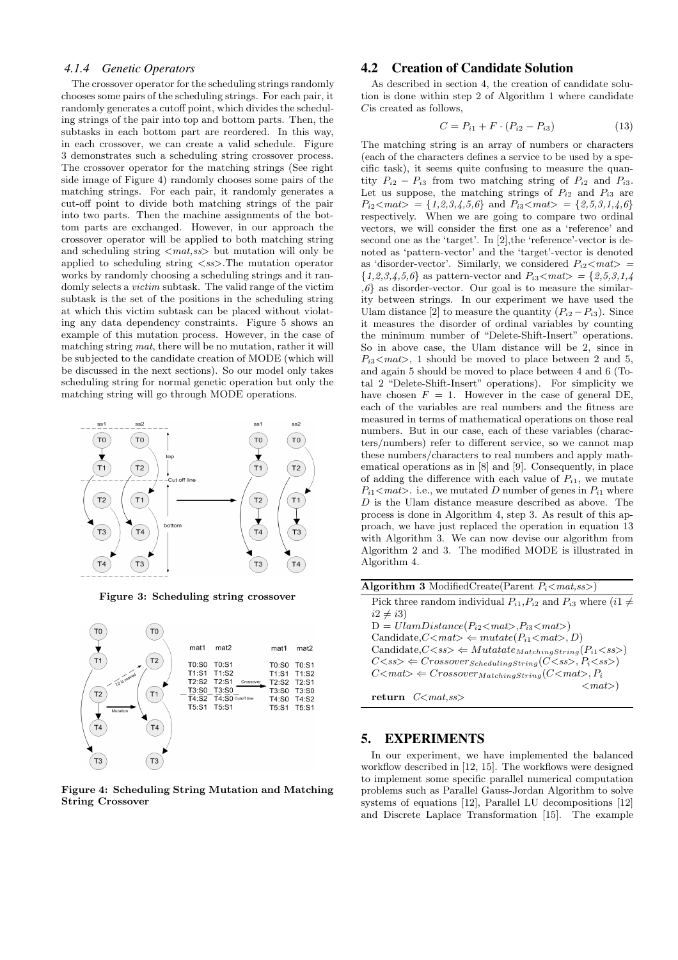#### *4.1.4 Genetic Operators*

The crossover operator for the scheduling strings randomly chooses some pairs of the scheduling strings. For each pair, it randomly generates a cutoff point, which divides the scheduling strings of the pair into top and bottom parts. Then, the subtasks in each bottom part are reordered. In this way, in each crossover, we can create a valid schedule. Figure 3 demonstrates such a scheduling string crossover process. The crossover operator for the matching strings (See right side image of Figure 4) randomly chooses some pairs of the matching strings. For each pair, it randomly generates a cut-off point to divide both matching strings of the pair into two parts. Then the machine assignments of the bottom parts are exchanged. However, in our approach the crossover operator will be applied to both matching string and scheduling string  $\langle mat, ss \rangle$  but mutation will only be applied to scheduling string  $\langle ss \rangle$ . The mutation operator works by randomly choosing a scheduling strings and it randomly selects a victim subtask. The valid range of the victim subtask is the set of the positions in the scheduling string at which this victim subtask can be placed without violating any data dependency constraints. Figure 5 shows an example of this mutation process. However, in the case of matching string mat, there will be no mutation, rather it will be subjected to the candidate creation of MODE (which will be discussed in the next sections). So our model only takes scheduling string for normal genetic operation but only the matching string will go through MODE operations.



Figure 3: Scheduling string crossover



Figure 4: Scheduling String Mutation and Matching String Crossover

## 4.2 Creation of Candidate Solution

As described in section 4, the creation of candidate solution is done within step 2 of Algorithm 1 where candidate Cis created as follows,

$$
C = P_{i1} + F \cdot (P_{i2} - P_{i3}) \tag{13}
$$

The matching string is an array of numbers or characters (each of the characters defines a service to be used by a specific task), it seems quite confusing to measure the quantity  $P_{i2} - P_{i3}$  from two matching string of  $P_{i2}$  and  $P_{i3}$ . Let us suppose, the matching strings of  $P_{i2}$  and  $P_{i3}$  are  $P_{i2} < mat> = \{1,2,3,4,5,6\}$  and  $P_{i3} < mat> = \{2,5,3,1,4,6\}$ respectively. When we are going to compare two ordinal vectors, we will consider the first one as a 'reference' and second one as the 'target'. In [2],the 'reference'-vector is denoted as 'pattern-vector' and the 'target'-vector is denoted as 'disorder-vector'. Similarly, we considered  $P_{i2} \leq mat>$  ${1,2,3,4,5,6}$  as pattern-vector and  $P_{i3} < mat>$  = {2,5,3,1,4}  $,6$ } as disorder-vector. Our goal is to measure the similarity between strings. In our experiment we have used the Ulam distance [2] to measure the quantity  $(P_{i2} - P_{i3})$ . Since it measures the disorder of ordinal variables by counting the minimum number of "Delete-Shift-Insert" operations. So in above case, the Ulam distance will be 2, since in  $P_{i3} \leq mat$ , 1 should be moved to place between 2 and 5, and again 5 should be moved to place between 4 and 6 (Total 2 "Delete-Shift-Insert" operations). For simplicity we have chosen  $F = 1$ . However in the case of general DE, each of the variables are real numbers and the fitness are measured in terms of mathematical operations on those real numbers. But in our case, each of these variables (characters/numbers) refer to different service, so we cannot map these numbers/characters to real numbers and apply mathematical operations as in [8] and [9]. Consequently, in place of adding the difference with each value of  $P_{i1}$ , we mutate  $P_{i1}$  <mat>. i.e., we mutated D number of genes in  $P_{i1}$  where D is the Ulam distance measure described as above. The process is done in Algorithm 4, step 3. As result of this approach, we have just replaced the operation in equation 13 with Algorithm 3. We can now devise our algorithm from Algorithm 2 and 3. The modified MODE is illustrated in Algorithm 4.

#### 5. EXPERIMENTS

In our experiment, we have implemented the balanced workflow described in [12, 15]. The workflows were designed to implement some specific parallel numerical computation problems such as Parallel Gauss-Jordan Algorithm to solve systems of equations [12], Parallel LU decompositions [12] and Discrete Laplace Transformation [15]. The example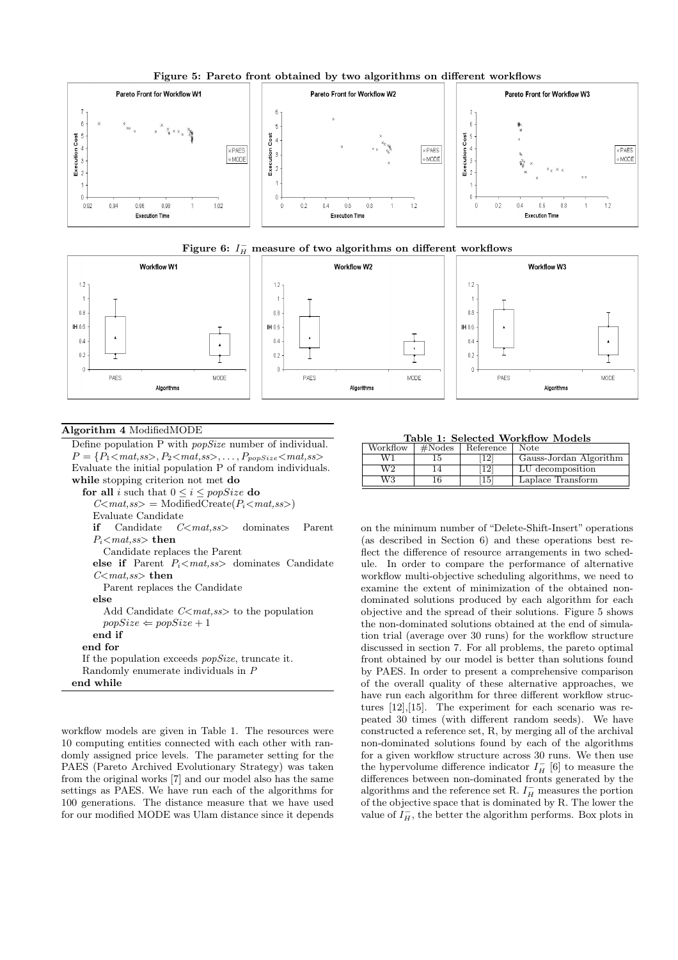

Figure 5: Pareto front obtained by two algorithms on different workflows





## Algorithm 4 ModifiedMODE

Define population P with popSize number of individual.  $P = \{P_1 \leq mat, ss>, P_2 \leq mat, ss>, \ldots, P_{popSize} \leq mat, ss\}$ Evaluate the initial population P of random individuals. while stopping criterion not met do for all i such that  $0 \le i \le popSize$  do  $C<$ mat,ss> = ModifiedCreate $(P_i<$ mat,ss>) Evaluate Candidate if Candidate  $C<$ mat,ss> dominates Parent  $P_i$ <mat,ss> then Candidate replaces the Parent else if Parent  $P_i$ <mat,ss> dominates Candidate  $C $mat,ss$  then$ Parent replaces the Candidate else Add Candidate  $C \leq mat, ss>$  to the population  $popSize \Leftarrow popSize + 1$ end if end for If the population exceeds popSize, truncate it. Randomly enumerate individuals in P end while

workflow models are given in Table 1. The resources were 10 computing entities connected with each other with randomly assigned price levels. The parameter setting for the PAES (Pareto Archived Evolutionary Strategy) was taken from the original works [7] and our model also has the same settings as PAES. We have run each of the algorithms for 100 generations. The distance measure that we have used for our modified MODE was Ulam distance since it depends

Table 1: Selected Workflow Models

| Workflow | #Nodes | Reference | <b>Note</b>            |
|----------|--------|-----------|------------------------|
| W1       |        | 19.       | Gauss-Jordan Algorithm |
| W2       |        | 12        | LU decomposition       |
| W3       |        | 15        | Laplace Transform      |

on the minimum number of "Delete-Shift-Insert" operations (as described in Section 6) and these operations best reflect the difference of resource arrangements in two schedule. In order to compare the performance of alternative workflow multi-objective scheduling algorithms, we need to examine the extent of minimization of the obtained nondominated solutions produced by each algorithm for each objective and the spread of their solutions. Figure 5 shows the non-dominated solutions obtained at the end of simulation trial (average over 30 runs) for the workflow structure discussed in section 7. For all problems, the pareto optimal front obtained by our model is better than solutions found by PAES. In order to present a comprehensive comparison of the overall quality of these alternative approaches, we have run each algorithm for three different workflow structures [12],[15]. The experiment for each scenario was repeated 30 times (with different random seeds). We have constructed a reference set, R, by merging all of the archival non-dominated solutions found by each of the algorithms for a given workflow structure across 30 runs. We then use the hypervolume difference indicator  $I_H^-$  [6] to measure the differences between non-dominated fronts generated by the algorithms and the reference set R.  $I_H^-$  measures the portion of the objective space that is dominated by R. The lower the value of  $I_H^-$ , the better the algorithm performs. Box plots in